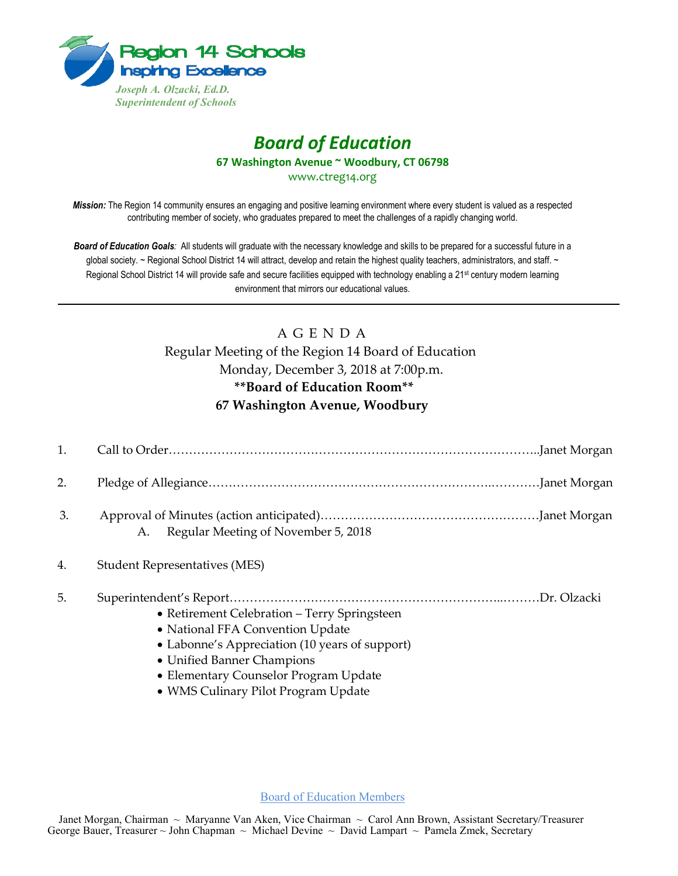

## *Board of Education* **67 Washington Avenue ~ Woodbury, CT 06798**

www.ctreg14.org

*Mission:* The Region 14 community ensures an engaging and positive learning environment where every student is valued as a respected contributing member of society, who graduates prepared to meet the challenges of a rapidly changing world.

*Board of Education Goals:* All students will graduate with the necessary knowledge and skills to be prepared for a successful future in a global society. ~ Regional School District 14 will attract, develop and retain the highest quality teachers, administrators, and staff. ~ Regional School District 14 will provide safe and secure facilities equipped with technology enabling a 21<sup>st</sup> century modern learning environment that mirrors our educational values.

## A G E N D A

Regular Meeting of the Region 14 Board of Education Monday, December 3, 2018 at 7:00p.m. **\*\*Board of Education Room\*\* 67 Washington Avenue, Woodbury** 

| 1. |                                              |  |
|----|----------------------------------------------|--|
| 2. |                                              |  |
| 3. | A. Regular Meeting of November 5, 2018       |  |
| 4. | <b>Student Representatives (MES)</b>         |  |
| 5. | • Retirement Celebration - Terry Springsteen |  |

- National FFA Convention Update
- Labonne's Appreciation (10 years of support)
- Unified Banner Champions
- Elementary Counselor Program Update
- WMS Culinary Pilot Program Update

Board of Education Members